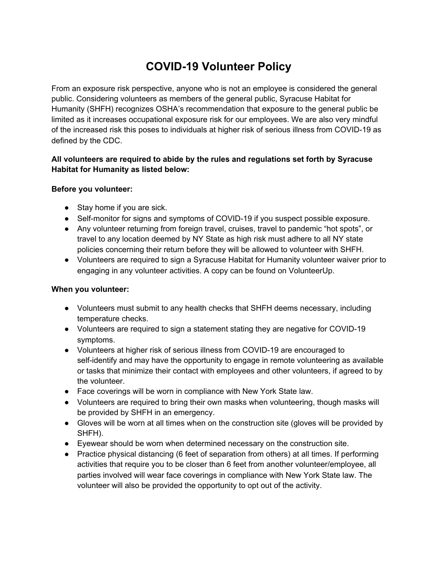# **COVID-19 Volunteer Policy**

From an exposure risk perspective, anyone who is not an employee is considered the general public. Considering volunteers as members of the general public, Syracuse Habitat for Humanity (SHFH) recognizes OSHA's recommendation that exposure to the general public be limited as it increases occupational exposure risk for our employees. We are also very mindful of the increased risk this poses to individuals at higher risk of serious illness from COVID-19 as defined by the CDC.

### **All volunteers are required to abide by the rules and regulations set forth by Syracuse Habitat for Humanity as listed below:**

#### **Before you volunteer:**

- Stay home if you are sick.
- Self-monitor for signs and symptoms of COVID-19 if you suspect possible exposure.
- Any volunteer returning from foreign travel, cruises, travel to pandemic "hot spots", or travel to any location deemed by NY State as high risk must adhere to all NY state policies concerning their return before they will be allowed to volunteer with SHFH.
- Volunteers are required to sign a Syracuse Habitat for Humanity volunteer waiver prior to engaging in any volunteer activities. A copy can be found on VolunteerUp.

## **When you volunteer:**

- Volunteers must submit to any health checks that SHFH deems necessary, including temperature checks.
- Volunteers are required to sign a statement stating they are negative for COVID-19 symptoms.
- Volunteers at higher risk of serious illness from COVID-19 are encouraged to self-identify and may have the opportunity to engage in remote volunteering as available or tasks that minimize their contact with employees and other volunteers, if agreed to by the volunteer.
- Face coverings will be worn in compliance with New York State law.
- Volunteers are required to bring their own masks when volunteering, though masks will be provided by SHFH in an emergency.
- Gloves will be worn at all times when on the construction site (gloves will be provided by SHFH).
- Eyewear should be worn when determined necessary on the construction site.
- Practice physical distancing (6 feet of separation from others) at all times. If performing activities that require you to be closer than 6 feet from another volunteer/employee, all parties involved will wear face coverings in compliance with New York State law. The volunteer will also be provided the opportunity to opt out of the activity.